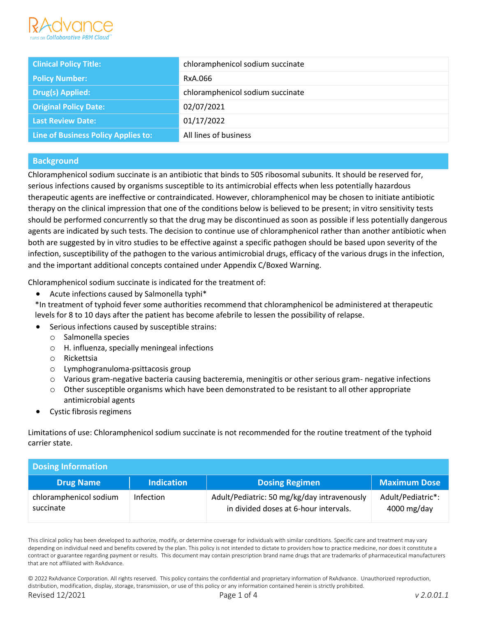

| <b>Clinical Policy Title:</b>       | chloramphenicol sodium succinate |
|-------------------------------------|----------------------------------|
| <b>Policy Number:</b>               | RxA.066                          |
| <b>Drug(s) Applied:</b>             | chloramphenicol sodium succinate |
| <b>Original Policy Date:</b>        | 02/07/2021                       |
| <b>Last Review Date:</b>            | 01/17/2022                       |
| Line of Business Policy Applies to: | All lines of business            |

# **Background**

Chloramphenicol sodium succinate is an antibiotic that binds to 50S ribosomal subunits. It should be reserved for, serious infections caused by organisms susceptible to its antimicrobial effects when less potentially hazardous therapeutic agents are ineffective or contraindicated. However, chloramphenicol may be chosen to initiate antibiotic therapy on the clinical impression that one of the conditions below is believed to be present; in vitro sensitivity tests should be performed concurrently so that the drug may be discontinued as soon as possible if less potentially dangerous agents are indicated by such tests. The decision to continue use of chloramphenicol rather than another antibiotic when both are suggested by in vitro studies to be effective against a specific pathogen should be based upon severity of the infection, susceptibility of the pathogen to the various antimicrobial drugs, efficacy of the various drugs in the infection, and the important additional concepts contained under Appendix C/Boxed Warning.

Chloramphenicol sodium succinate is indicated for the treatment of:

- Acute infections caused by Salmonella typhi\*
- \*In treatment of typhoid fever some authorities recommend that chloramphenicol be administered at therapeutic levels for 8 to 10 days after the patient has become afebrile to lessen the possibility of relapse.
- Serious infections caused by susceptible strains:
	- o Salmonella species
	- o H. influenza, specially meningeal infections
	- o Rickettsia
	- o Lymphogranuloma-psittacosis group
	- o Various gram-negative bacteria causing bacteremia, meningitis or other serious gram- negative infections
	- o Other susceptible organisms which have been demonstrated to be resistant to all other appropriate antimicrobial agents
- Cystic fibrosis regimens

Limitations of use: Chloramphenicol sodium succinate is not recommended for the routine treatment of the typhoid carrier state.

# **Dosing Information**

| ________________________            |                   |                                                                                      |                                    |  |
|-------------------------------------|-------------------|--------------------------------------------------------------------------------------|------------------------------------|--|
| <b>Drug Name</b>                    | <b>Indication</b> | <b>Dosing Regimen</b>                                                                | <b>Maximum Dose</b>                |  |
| chloramphenicol sodium<br>succinate | Infection         | Adult/Pediatric: 50 mg/kg/day intravenously<br>in divided doses at 6-hour intervals. | Adult/Pediatric*:<br>$4000$ mg/day |  |

This clinical policy has been developed to authorize, modify, or determine coverage for individuals with similar conditions. Specific care and treatment may vary depending on individual need and benefits covered by the plan. This policy is not intended to dictate to providers how to practice medicine, nor does it constitute a contract or guarantee regarding payment or results. This document may contain prescription brand name drugs that are trademarks of pharmaceutical manufacturers that are not affiliated with RxAdvance.

© 2022 RxAdvance Corporation. All rights reserved. This policy contains the confidential and proprietary information of RxAdvance. Unauthorized reproduction, distribution, modification, display, storage, transmission, or use of this policy or any information contained herein is strictly prohibited. Revised 12/2021 Page 1 of 4 *v 2.0.01.1*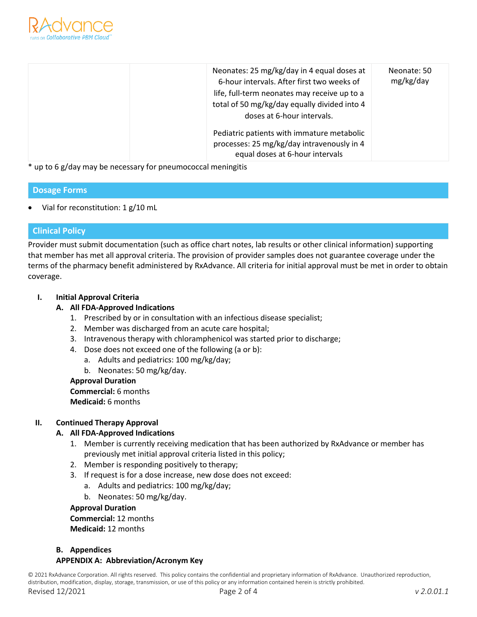

| Neonates: 25 mg/kg/day in 4 equal doses at<br>6-hour intervals. After first two weeks of<br>life, full-term neonates may receive up to a<br>total of 50 mg/kg/day equally divided into 4<br>doses at 6-hour intervals. | Neonate: 50<br>mg/kg/day |
|------------------------------------------------------------------------------------------------------------------------------------------------------------------------------------------------------------------------|--------------------------|
| Pediatric patients with immature metabolic<br>processes: 25 mg/kg/day intravenously in 4<br>equal doses at 6-hour intervals                                                                                            |                          |

\* up to 6 g/day may be necessary for pneumococcal meningitis

# **Dosage Forms**

• Vial for reconstitution: 1 g/10 mL

# **Clinical Policy**

Provider must submit documentation (such as office chart notes, lab results or other clinical information) supporting that member has met all approval criteria. The provision of provider samples does not guarantee coverage under the terms of the pharmacy benefit administered by RxAdvance. All criteria for initial approval must be met in order to obtain coverage.

# **I. Initial Approval Criteria**

#### **A. All FDA-Approved Indications**

- 1. Prescribed by or in consultation with an infectious disease specialist;
- 2. Member was discharged from an acute care hospital;
- 3. Intravenous therapy with chloramphenicol was started prior to discharge;
- 4. Dose does not exceed one of the following (a or b):
	- a. Adults and pediatrics: 100 mg/kg/day;
	- b. Neonates: 50 mg/kg/day.

#### **Approval Duration Commercial:** 6 months

**Medicaid:** 6 months

# **II. Continued Therapy Approval**

# **A. All FDA-Approved Indications**

- 1. Member is currently receiving medication that has been authorized by RxAdvance or member has previously met initial approval criteria listed in this policy;
- 2. Member is responding positively to therapy;
- 3. If request is for a dose increase, new dose does not exceed:
	- a. Adults and pediatrics: 100 mg/kg/day;
		- b. Neonates: 50 mg/kg/day.

#### **Approval Duration**

**Commercial:** 12 months **Medicaid:** 12 months

# **B. Appendices**

#### **APPENDIX A: Abbreviation/Acronym Key**

© 2021 RxAdvance Corporation. All rights reserved. This policy contains the confidential and proprietary information of RxAdvance. Unauthorized reproduction, distribution, modification, display, storage, transmission, or use of this policy or any information contained herein is strictly prohibited.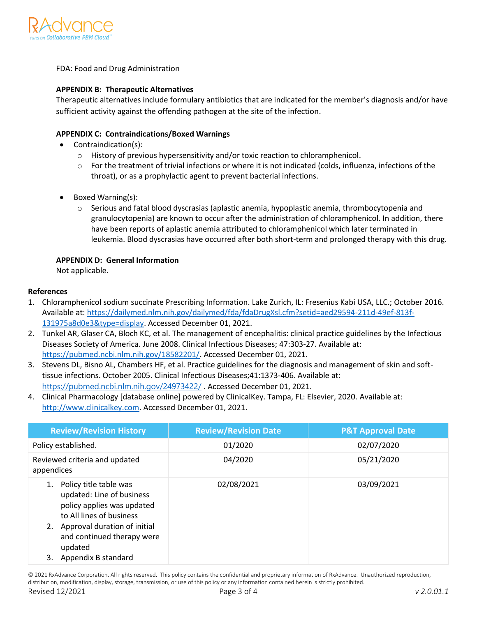

FDA: Food and Drug Administration

#### **APPENDIX B: Therapeutic Alternatives**

Therapeutic alternatives include formulary antibiotics that are indicated for the member's diagnosis and/or have sufficient activity against the offending pathogen at the site of the infection.

#### **APPENDIX C: Contraindications/Boxed Warnings**

- Contraindication(s):
	- $\circ$  History of previous hypersensitivity and/or toxic reaction to chloramphenicol.
	- $\circ$  For the treatment of trivial infections or where it is not indicated (colds, influenza, infections of the throat), or as a prophylactic agent to prevent bacterial infections.
- Boxed Warning(s):
	- o Serious and fatal blood dyscrasias (aplastic anemia, hypoplastic anemia, thrombocytopenia and granulocytopenia) are known to occur after the administration of chloramphenicol. In addition, there have been reports of aplastic anemia attributed to chloramphenicol which later terminated in leukemia. Blood dyscrasias have occurred after both short-term and prolonged therapy with this drug.

#### **APPENDIX D: General Information**

Not applicable.

#### **References**

- 1. Chloramphenicol sodium succinate Prescribing Information. Lake Zurich, IL: Fresenius Kabi USA, LLC.; October 2016. Available at: [https://dailymed.nlm.nih.gov/dailymed/fda/fdaDrugXsl.cfm?setid=aed29594-211d-49ef-813f-](https://dailymed.nlm.nih.gov/dailymed/fda/fdaDrugXsl.cfm?setid=aed29594-211d-49ef-813f-131975a8d0e3&type=display)[131975a8d0e3&type=display.](https://dailymed.nlm.nih.gov/dailymed/fda/fdaDrugXsl.cfm?setid=aed29594-211d-49ef-813f-131975a8d0e3&type=display) Accessed December 01, 2021.
- 2. Tunkel AR, Glaser CA, Bloch KC, et al. The management of encephalitis: clinical practice guidelines by the Infectious Diseases Society of America. June 2008. Clinical Infectious Diseases; 47:303-27. Available at: [https://pubmed.ncbi.nlm.nih.gov/18582201/.](https://pubmed.ncbi.nlm.nih.gov/18582201/) Accessed December 01, 2021.
- 3. Stevens DL, Bisno AL, Chambers HF, et al. Practice guidelines for the diagnosis and management of skin and softtissue infections. October 2005. Clinical Infectious Diseases;41:1373-406. Available at: <https://pubmed.ncbi.nlm.nih.gov/24973422/> . Accessed December 01, 2021.
- 4. Clinical Pharmacology [database online] powered by ClinicalKey. Tampa, FL: Elsevier, 2020. Available at: [http://www.clinicalkey.com.](http://www.clinicalkey.com/) Accessed December 01, 2021.

| <b>Review/Revision History</b>                                                                                                                      | <b>Review/Revision Date</b> | <b>P&amp;T Approval Date</b> |
|-----------------------------------------------------------------------------------------------------------------------------------------------------|-----------------------------|------------------------------|
| Policy established.                                                                                                                                 | 01/2020                     | 02/07/2020                   |
| Reviewed criteria and updated<br>appendices                                                                                                         | 04/2020                     | 05/21/2020                   |
| Policy title table was<br>1.<br>updated: Line of business<br>policy applies was updated<br>to All lines of business<br>Approval duration of initial | 02/08/2021                  | 03/09/2021                   |
| and continued therapy were<br>updated<br>Appendix B standard<br>3.                                                                                  |                             |                              |

© 2021 RxAdvance Corporation. All rights reserved. This policy contains the confidential and proprietary information of RxAdvance. Unauthorized reproduction, distribution, modification, display, storage, transmission, or use of this policy or any information contained herein is strictly prohibited.